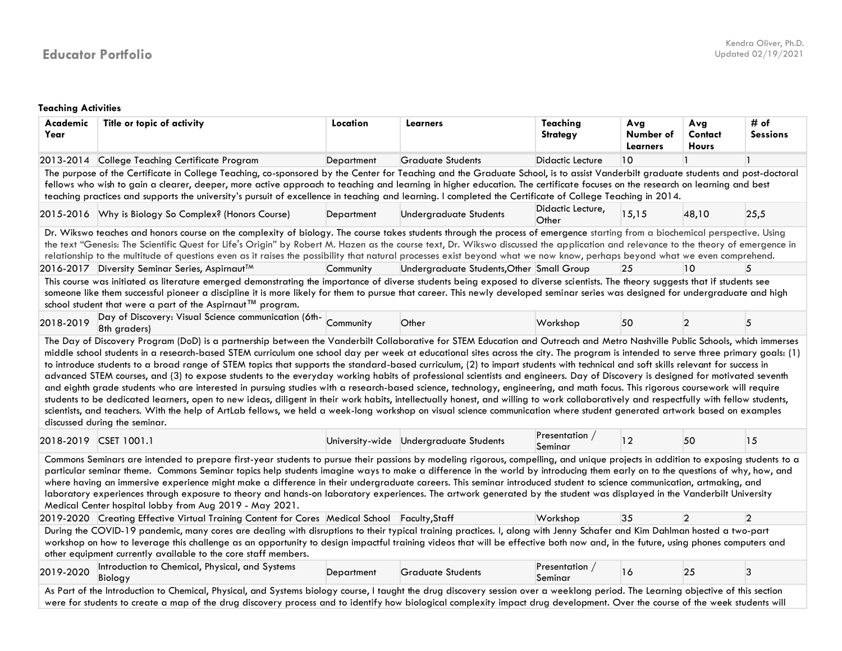### **Teaching Activities**

| Academic<br>Year      | Title or topic of activity                                                                                                                                                                                                                                                                                                                                                                                                                                                                                                                                                                                                                                                                                                                                                                                                                                                                                                                                                                                                                                                                                                                        | Location   | <b>Learners</b>                           | Teaching<br><b>Strategy</b> | Avg<br>Number of<br><b>Learners</b> | Avg<br>Contact<br><b>Hours</b> | # of<br><b>Sessions</b> |
|-----------------------|---------------------------------------------------------------------------------------------------------------------------------------------------------------------------------------------------------------------------------------------------------------------------------------------------------------------------------------------------------------------------------------------------------------------------------------------------------------------------------------------------------------------------------------------------------------------------------------------------------------------------------------------------------------------------------------------------------------------------------------------------------------------------------------------------------------------------------------------------------------------------------------------------------------------------------------------------------------------------------------------------------------------------------------------------------------------------------------------------------------------------------------------------|------------|-------------------------------------------|-----------------------------|-------------------------------------|--------------------------------|-------------------------|
|                       | 2013-2014 College Teaching Certificate Program                                                                                                                                                                                                                                                                                                                                                                                                                                                                                                                                                                                                                                                                                                                                                                                                                                                                                                                                                                                                                                                                                                    | Department | <b>Graduate Students</b>                  | Didactic Lecture            | 10                                  |                                | 1                       |
|                       | The purpose of the Certificate in College Teaching, co-sponsored by the Center for Teaching and the Graduate School, is to assist Vanderbilt graduate students and post-doctoral<br>fellows who wish to gain a clearer, deeper, more active approach to teaching and learning in higher education. The certificate focuses on the research on learning and best<br>teaching practices and supports the university's pursuit of excellence in teaching and learning. I completed the Certificate of College Teaching in 2014.                                                                                                                                                                                                                                                                                                                                                                                                                                                                                                                                                                                                                      |            |                                           |                             |                                     |                                |                         |
|                       | 2015-2016 Why is Biology So Complex? (Honors Course)                                                                                                                                                                                                                                                                                                                                                                                                                                                                                                                                                                                                                                                                                                                                                                                                                                                                                                                                                                                                                                                                                              | Department | <b>Undergraduate Students</b>             | Didactic Lecture,<br>Other  | 15,15                               | 48,10                          | 25,5                    |
|                       | Dr. Wikswo teaches and honors course on the complexity of biology. The course takes students through the process of emergence starting from a biochemical perspective. Using<br>the text "Genesis: The Scientific Quest for Life's Origin" by Robert M. Hazen as the course text, Dr. Wikswo discussed the application and relevance to the theory of emergence in<br>relationship to the multitude of questions even as it raises the possibility that natural processes exist beyond what we now know, perhaps beyond what we even comprehend.                                                                                                                                                                                                                                                                                                                                                                                                                                                                                                                                                                                                  |            |                                           |                             |                                     |                                |                         |
|                       | 2016-2017 Diversity Seminar Series, Aspirnaut™                                                                                                                                                                                                                                                                                                                                                                                                                                                                                                                                                                                                                                                                                                                                                                                                                                                                                                                                                                                                                                                                                                    | Community  | Undergraduate Students, Other Small Group |                             | 25                                  | 10                             |                         |
|                       | This course was initiated as literature emerged demonstrating the importance of diverse students being exposed to diverse scientists. The theory suggests that if students see<br>someone like them successful pioneer a discipline it is more likely for them to pursue that career. This newly developed seminar series was designed for undergraduate and high<br>school student that were a part of the Aspirnaut™ program.                                                                                                                                                                                                                                                                                                                                                                                                                                                                                                                                                                                                                                                                                                                   |            |                                           |                             |                                     |                                |                         |
| 2018-2019             | Day of Discovery: Visual Science communication (6th-Community<br>8th graders)                                                                                                                                                                                                                                                                                                                                                                                                                                                                                                                                                                                                                                                                                                                                                                                                                                                                                                                                                                                                                                                                     |            | Other                                     | Workshop                    | 50                                  | 2                              | 5                       |
|                       | middle school students in a research-based STEM curriculum one school day per week at educational sites across the city. The program is intended to serve three primary goals: (1)<br>to introduce students to a broad range of STEM topics that supports the standard-based curriculum, (2) to impart students with technical and soft skills relevant for success in<br>advanced STEM courses, and (3) to expose students to the everyday working habits of professional scientists and engineers. Day of Discovery is designed for motivated seventh<br>and eighth grade students who are interested in pursuing studies with a research-based science, technology, engineering, and math focus. This rigorous coursework will require<br>students to be dedicated learners, open to new ideas, diligent in their work habits, intellectually honest, and willing to work collaboratively and respectfully with fellow students,<br>scientists, and teachers. With the help of ArtLab fellows, we held a week-long workshop on visual science communication where student generated artwork based on examples<br>discussed during the seminar. |            |                                           |                             |                                     |                                |                         |
| 2018-2019 CSET 1001.1 |                                                                                                                                                                                                                                                                                                                                                                                                                                                                                                                                                                                                                                                                                                                                                                                                                                                                                                                                                                                                                                                                                                                                                   |            | University-wide Undergraduate Students    | Presentation /<br>Seminar   | 12                                  | 50                             | 15                      |
|                       | Commons Seminars are intended to prepare first-year students to pursue their passions by modeling rigorous, compelling, and unique projects in addition to exposing students to a<br>particular seminar theme. Commons Seminar topics help students imagine ways to make a difference in the world by introducing them early on to the questions of why, how, and<br>where having an immersive experience might make a difference in their undergraduate careers. This seminar introduced student to science communication, artmaking, and<br>laboratory experiences through exposure to theory and hands-on laboratory experiences. The artwork generated by the student was displayed in the Vanderbilt University<br>Medical Center hospital lobby from Aug 2019 - May 2021.                                                                                                                                                                                                                                                                                                                                                                   |            |                                           |                             |                                     |                                |                         |
|                       | 2019-2020 Creating Effective Virtual Training Content for Cores Medical School Faculty, Staff                                                                                                                                                                                                                                                                                                                                                                                                                                                                                                                                                                                                                                                                                                                                                                                                                                                                                                                                                                                                                                                     |            |                                           | Workshop                    | 35                                  | $\mathcal{P}$                  | $\mathcal{P}$           |
|                       | During the COVID-19 pandemic, many cores are dealing with disruptions to their typical training practices. I, along with Jenny Schafer and Kim Dahlman hosted a two-part<br>workshop on how to leverage this challenge as an opportunity to design impactful training videos that will be effective both now and, in the future, using phones computers and<br>other equipment currently available to the core staff members.                                                                                                                                                                                                                                                                                                                                                                                                                                                                                                                                                                                                                                                                                                                     |            |                                           |                             |                                     |                                |                         |
| 2019-2020             | Introduction to Chemical, Physical, and Systems<br>Biology                                                                                                                                                                                                                                                                                                                                                                                                                                                                                                                                                                                                                                                                                                                                                                                                                                                                                                                                                                                                                                                                                        | Department | <b>Graduate Students</b>                  | Presentation /<br>Seminar   | 16                                  | 25                             | 3                       |
|                       | As Part of the Introduction to Chemical, Physical, and Systems biology course, I taught the drug discovery session over a weeklong period. The Learning objective of this section<br>were for students to create a map of the drug discovery process and to identify how biological complexity impact drug development. Over the course of the week students will                                                                                                                                                                                                                                                                                                                                                                                                                                                                                                                                                                                                                                                                                                                                                                                 |            |                                           |                             |                                     |                                |                         |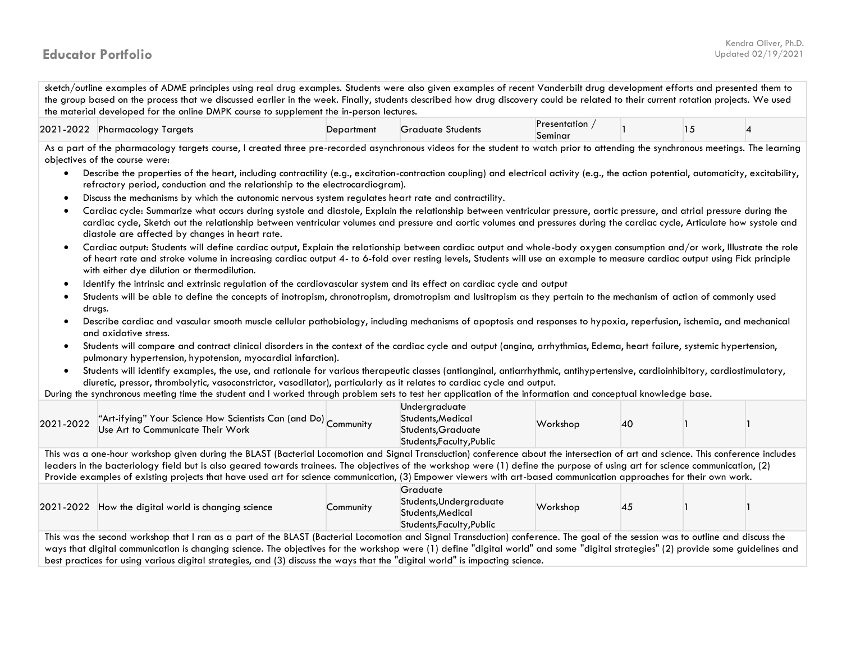# **Educator Portfolio** Updated 02/19/2021

sketch/outline examples of ADME principles using real drug examples. Students were also given examples of recent Vanderbilt drug development efforts and presented them to the group based on the process that we discussed earlier in the week. Finally, students described how drug discovery could be related to their current rotation projects. We used the material developed for the online DMPK course to supplement the in-person lectures.

| $-2022$<br>2021<br>$\sim$<br>largets<br><b>Pharmacoloay</b> | Department | <b>Students</b><br>eraduate | Presentation<br>Seminar |  |  |  |  |
|-------------------------------------------------------------|------------|-----------------------------|-------------------------|--|--|--|--|
|-------------------------------------------------------------|------------|-----------------------------|-------------------------|--|--|--|--|

As a part of the pharmacology targets course, I created three pre-recorded asynchronous videos for the student to watch prior to attending the synchronous meetings. The learning objectives of the course were:

- Describe the properties of the heart, including contractility (e.g., excitation-contraction coupling) and electrical activity (e.g., the action potential, automaticity, excitability, refractory period, conduction and the relationship to the electrocardiogram).
- Discuss the mechanisms by which the autonomic nervous system regulates heart rate and contractility.
- Cardiac cycle: Summarize what occurs during systole and diastole, Explain the relationship between ventricular pressure, aortic pressure, and atrial pressure during the cardiac cycle, Sketch out the relationship between ventricular volumes and pressure and aortic volumes and pressures during the cardiac cycle, Articulate how systole and diastole are affected by changes in heart rate.
- Cardiac output: Students will define cardiac output, Explain the relationship between cardiac output and whole-body oxygen consumption and/or work, Illustrate the role of heart rate and stroke volume in increasing cardiac output 4- to 6-fold over resting levels, Students will use an example to measure cardiac output using Fick principle with either dye dilution or thermodilution.
- Identify the intrinsic and extrinsic regulation of the cardiovascular system and its effect on cardiac cycle and output
- Students will be able to define the concepts of inotropism, chronotropism, dromotropism and lusitropism as they pertain to the mechanism of action of commonly used drugs.
- Describe cardiac and vascular smooth muscle cellular pathobiology, including mechanisms of apoptosis and responses to hypoxia, reperfusion, ischemia, and mechanical and oxidative stress.
- Students will compare and contract clinical disorders in the context of the cardiac cycle and output (angina, arrhythmias, Edema, heart failure, systemic hypertension, pulmonary hypertension, hypotension, myocardial infarction).
- Students will identify examples, the use, and rationale for various therapeutic classes (antianginal, antiarrhythmic, antihypertensive, cardioinhibitory, cardiostimulatory, diuretic, pressor, thrombolytic, vasoconstrictor, vasodilator), particularly as it relates to cardiac cycle and output.

During the synchronous meeting time the student and I worked through problem sets to test her application of the information and conceptual knowledge base.

| 2021-2022 "Art-ifying" Your Science How Scientists Can (and Do) Community                                                                                                                                                                                                                                                                                                                                                                                                                              |           | Undergraduate<br>Students, Medical<br>Students, Graduate<br>Students, Faculty, Public | Workshop | 40 |  |
|--------------------------------------------------------------------------------------------------------------------------------------------------------------------------------------------------------------------------------------------------------------------------------------------------------------------------------------------------------------------------------------------------------------------------------------------------------------------------------------------------------|-----------|---------------------------------------------------------------------------------------|----------|----|--|
| This was a one-hour workshop given during the BLAST (Bacterial Locomotion and Signal Transduction) conference about the intersection of art and science. This conference includes                                                                                                                                                                                                                                                                                                                      |           |                                                                                       |          |    |  |
| leaders in the bacteriology field but is also geared towards trainees. The objectives of the workshop were (1) define the purpose of using art for science communication, (2)<br>Provide examples of existing projects that have used art for science communication, (3) Empower viewers with art-based communication approaches for their own work.                                                                                                                                                   |           |                                                                                       |          |    |  |
| 2021-2022 How the digital world is changing science                                                                                                                                                                                                                                                                                                                                                                                                                                                    | Community | Graduate<br>Students, Undergraduate<br>Students, Medical<br>Students, Faculty, Public | Workshop | 45 |  |
| This was the second workshop that I ran as a part of the BLAST (Bacterial Locomotion and Signal Transduction) conference. The goal of the session was to outline and discuss the<br>ways that digital communication is changing science. The objectives for the workshop were (1) define "digital world" and some "digital strategies" (2) provide some guidelines and<br>best practices for using various digital strategies, and (3) discuss the ways that the "digital world" is impacting science. |           |                                                                                       |          |    |  |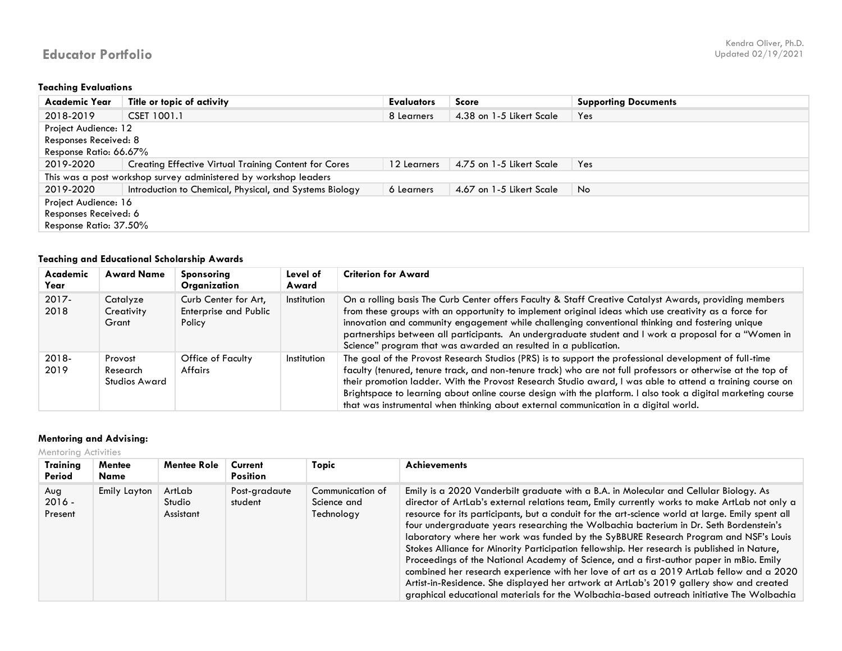### **Teaching Evaluations**

| Academic Year          | Title or topic of activity                                       | <b>Evaluators</b> | <b>Score</b>             | <b>Supporting Documents</b> |  |  |  |  |
|------------------------|------------------------------------------------------------------|-------------------|--------------------------|-----------------------------|--|--|--|--|
| 2018-2019              | CSET 1001.1                                                      | 8 Learners        | 4.38 on 1-5 Likert Scale | Yes                         |  |  |  |  |
| Project Audience: 12   |                                                                  |                   |                          |                             |  |  |  |  |
| Responses Received: 8  |                                                                  |                   |                          |                             |  |  |  |  |
| Response Ratio: 66.67% |                                                                  |                   |                          |                             |  |  |  |  |
| 2019-2020              | <b>Creating Effective Virtual Training Content for Cores</b>     | 12 Learners       | 4.75 on 1-5 Likert Scale | Yes                         |  |  |  |  |
|                        | This was a post workshop survey administered by workshop leaders |                   |                          |                             |  |  |  |  |
| 2019-2020              | Introduction to Chemical, Physical, and Systems Biology          | 6 Learners        | 4.67 on 1-5 Likert Scale | No                          |  |  |  |  |
| Project Audience: 16   |                                                                  |                   |                          |                             |  |  |  |  |
| Responses Received: 6  |                                                                  |                   |                          |                             |  |  |  |  |
|                        | Response Ratio: 37.50%                                           |                   |                          |                             |  |  |  |  |

### **Teaching and Educational Scholarship Awards**

| Academic<br>Year | <b>Award Name</b>                           | <b>Sponsoring</b><br>Organization                              | Level of<br>Award | <b>Criterion for Award</b>                                                                                                                                                                                                                                                                                                                                                                                                                                                                                                                  |
|------------------|---------------------------------------------|----------------------------------------------------------------|-------------------|---------------------------------------------------------------------------------------------------------------------------------------------------------------------------------------------------------------------------------------------------------------------------------------------------------------------------------------------------------------------------------------------------------------------------------------------------------------------------------------------------------------------------------------------|
| 2017-<br>2018    | Catalyze<br>Creativity<br>Grant             | Curb Center for Art,<br><b>Enterprise and Public</b><br>Policy | Institution       | On a rolling basis The Curb Center offers Faculty & Staff Creative Catalyst Awards, providing members<br>from these groups with an opportunity to implement original ideas which use creativity as a force for<br>innovation and community engagement while challenging conventional thinking and fostering unique<br>partnerships between all participants. An undergraduate student and I work a proposal for a "Women in<br>Science" program that was awarded an resulted in a publication.                                              |
| 2018-<br>2019    | Provost<br>Research<br><b>Studios Award</b> | Office of Faculty<br><b>Affairs</b>                            | Institution       | The goal of the Provost Research Studios (PRS) is to support the professional development of full-time<br>faculty (tenured, tenure track, and non-tenure track) who are not full professors or otherwise at the top of<br>their promotion ladder. With the Provost Research Studio award, I was able to attend a training course on<br>Brightspace to learning about online course design with the platform. I also took a digital marketing course<br>that was instrumental when thinking about external communication in a digital world. |

### **Mentoring and Advising:**

Mentoring Activities

| <b>Training</b><br>Period  | Mentee<br>Name | Mentee Role                   | Current<br><b>Position</b> | Topic                                         | <b>Achievements</b>                                                                                                                                                                                                                                                                                                                                                                                                                                                                                                                                                                                                                                                                                                                                                                                                                                                                                                                                         |
|----------------------------|----------------|-------------------------------|----------------------------|-----------------------------------------------|-------------------------------------------------------------------------------------------------------------------------------------------------------------------------------------------------------------------------------------------------------------------------------------------------------------------------------------------------------------------------------------------------------------------------------------------------------------------------------------------------------------------------------------------------------------------------------------------------------------------------------------------------------------------------------------------------------------------------------------------------------------------------------------------------------------------------------------------------------------------------------------------------------------------------------------------------------------|
| Aug<br>$2016 -$<br>Present | Emily Layton   | ArtLab<br>Studio<br>Assistant | Post-gradaute<br>student   | Communication of<br>Science and<br>Technology | Emily is a 2020 Vanderbilt graduate with a B.A. in Molecular and Cellular Biology. As<br>director of ArtLab's external relations team, Emily currently works to make ArtLab not only a<br>resource for its participants, but a conduit for the art-science world at large. Emily spent all<br>four undergraduate years researching the Wolbachia bacterium in Dr. Seth Bordenstein's<br>laboratory where her work was funded by the SyBBURE Research Program and NSF's Louis<br>Stokes Alliance for Minority Participation fellowship. Her research is published in Nature,<br>Proceedings of the National Academy of Science, and a first-author paper in mBio. Emily<br>combined her research experience with her love of art as a 2019 ArtLab fellow and a 2020<br>Artist-in-Residence. She displayed her artwork at ArtLab's 2019 gallery show and created<br>graphical educational materials for the Wolbachia-based outreach initiative The Wolbachia |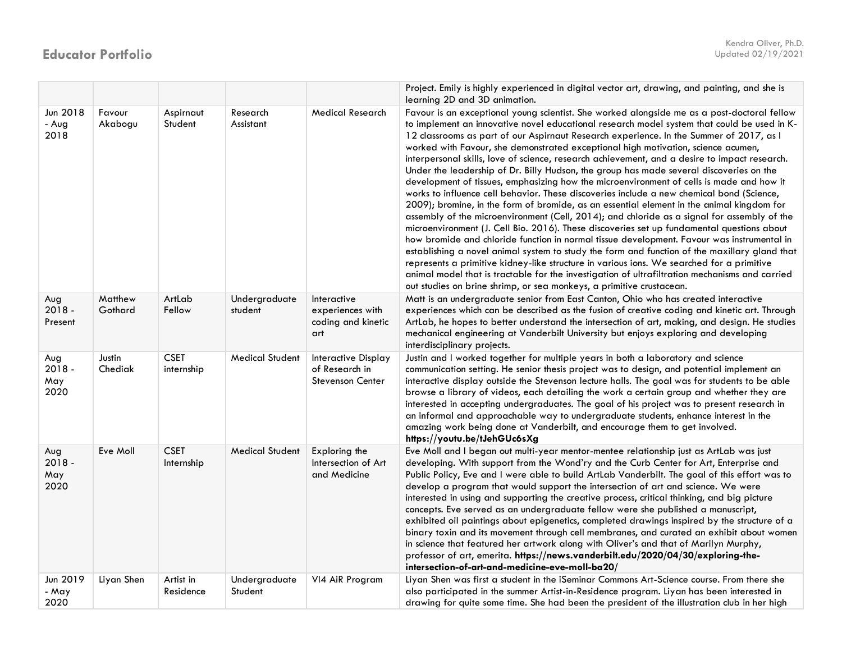|                                |                    |                           |                          |                                                                  | Project. Emily is highly experienced in digital vector art, drawing, and painting, and she is<br>learning 2D and 3D animation.                                                                                                                                                                                                                                                                                                                                                                                                                                                                                                                                                                                                                                                                                                                                                                                                                                                                                                                                                                                                                                                                                                                                                                                                                                                                                                                                                                                                  |
|--------------------------------|--------------------|---------------------------|--------------------------|------------------------------------------------------------------|---------------------------------------------------------------------------------------------------------------------------------------------------------------------------------------------------------------------------------------------------------------------------------------------------------------------------------------------------------------------------------------------------------------------------------------------------------------------------------------------------------------------------------------------------------------------------------------------------------------------------------------------------------------------------------------------------------------------------------------------------------------------------------------------------------------------------------------------------------------------------------------------------------------------------------------------------------------------------------------------------------------------------------------------------------------------------------------------------------------------------------------------------------------------------------------------------------------------------------------------------------------------------------------------------------------------------------------------------------------------------------------------------------------------------------------------------------------------------------------------------------------------------------|
| Jun 2018<br>- Aug<br>2018      | Favour<br>Akabogu  | Aspirnaut<br>Student      | Research<br>Assistant    | <b>Medical Research</b>                                          | Favour is an exceptional young scientist. She worked alongside me as a post-doctoral fellow<br>to implement an innovative novel educational research model system that could be used in K-<br>12 classrooms as part of our Aspirnaut Research experience. In the Summer of 2017, as I<br>worked with Favour, she demonstrated exceptional high motivation, science acumen,<br>interpersonal skills, love of science, research achievement, and a desire to impact research.<br>Under the leadership of Dr. Billy Hudson, the group has made several discoveries on the<br>development of tissues, emphasizing how the microenvironment of cells is made and how it<br>works to influence cell behavior. These discoveries include a new chemical bond (Science,<br>2009); bromine, in the form of bromide, as an essential element in the animal kingdom for<br>assembly of the microenvironment (Cell, 2014); and chloride as a signal for assembly of the<br>microenvironment (J. Cell Bio. 2016). These discoveries set up fundamental questions about<br>how bromide and chloride function in normal tissue development. Favour was instrumental in<br>establishing a novel animal system to study the form and function of the maxillary gland that<br>represents a primitive kidney-like structure in various ions. We searched for a primitive<br>animal model that is tractable for the investigation of ultrafiltration mechanisms and carried<br>out studies on brine shrimp, or sea monkeys, a primitive crustacean. |
| Aug<br>$2018 -$<br>Present     | Matthew<br>Gothard | ArtLab<br>Fellow          | Undergraduate<br>student | Interactive<br>experiences with<br>coding and kinetic<br>art     | Matt is an undergraduate senior from East Canton, Ohio who has created interactive<br>experiences which can be described as the fusion of creative coding and kinetic art. Through<br>ArtLab, he hopes to better understand the intersection of art, making, and design. He studies<br>mechanical engineering at Vanderbilt University but enjoys exploring and developing<br>interdisciplinary projects.                                                                                                                                                                                                                                                                                                                                                                                                                                                                                                                                                                                                                                                                                                                                                                                                                                                                                                                                                                                                                                                                                                                       |
| Aug<br>$2018 -$<br>May<br>2020 | Justin<br>Chediak  | <b>CSET</b><br>internship | <b>Medical Student</b>   | Interactive Display<br>of Research in<br><b>Stevenson Center</b> | Justin and I worked together for multiple years in both a laboratory and science<br>communication setting. He senior thesis project was to design, and potential implement an<br>interactive display outside the Stevenson lecture halls. The goal was for students to be able<br>browse a library of videos, each detailing the work a certain group and whether they are<br>interested in accepting undergraduates. The goal of his project was to present research in<br>an informal and approachable way to undergraduate students, enhance interest in the<br>amazing work being done at Vanderbilt, and encourage them to get involved.<br>https://youtu.be/tJehGUc6sXg                                                                                                                                                                                                                                                                                                                                                                                                                                                                                                                                                                                                                                                                                                                                                                                                                                                   |
| Aug<br>$2018 -$<br>May<br>2020 | Eve Moll           | <b>CSET</b><br>Internship | <b>Medical Student</b>   | Exploring the<br>Intersection of Art<br>and Medicine             | Eve Moll and I began out multi-year mentor-mentee relationship just as ArtLab was just<br>developing. With support from the Wond'ry and the Curb Center for Art, Enterprise and<br>Public Policy, Eve and I were able to build ArtLab Vanderbilt. The goal of this effort was to<br>develop a program that would support the intersection of art and science. We were<br>interested in using and supporting the creative process, critical thinking, and big picture<br>concepts. Eve served as an undergraduate fellow were she published a manuscript,<br>exhibited oil paintings about epigenetics, completed drawings inspired by the structure of a<br>binary toxin and its movement through cell membranes, and curated an exhibit about women<br>in science that featured her artwork along with Oliver's and that of Marilyn Murphy,<br>professor of art, emerita. https://news.vanderbilt.edu/2020/04/30/exploring-the-<br>intersection-of-art-and-medicine-eve-moll-ba20/                                                                                                                                                                                                                                                                                                                                                                                                                                                                                                                                             |
| Jun 2019<br>- May<br>2020      | Liyan Shen         | Artist in<br>Residence    | Undergraduate<br>Student | VI4 AiR Program                                                  | Liyan Shen was first a student in the iSeminar Commons Art-Science course. From there she<br>also participated in the summer Artist-in-Residence program. Liyan has been interested in<br>drawing for quite some time. She had been the president of the illustration club in her high                                                                                                                                                                                                                                                                                                                                                                                                                                                                                                                                                                                                                                                                                                                                                                                                                                                                                                                                                                                                                                                                                                                                                                                                                                          |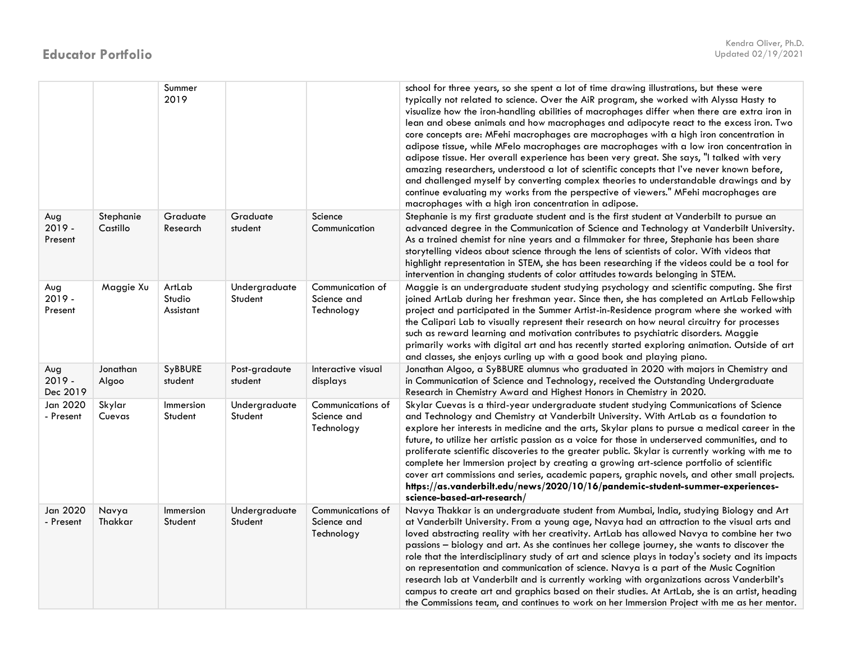|                             |                       | Summer<br>2019                |                          |                                                | school for three years, so she spent a lot of time drawing illustrations, but these were<br>typically not related to science. Over the AiR program, she worked with Alyssa Hasty to<br>visualize how the iron-handling abilities of macrophages differ when there are extra iron in<br>lean and obese animals and how macrophages and adipocyte react to the excess iron. Two<br>core concepts are: MFehi macrophages are macrophages with a high iron concentration in<br>adipose tissue, while MFelo macrophages are macrophages with a low iron concentration in<br>adipose tissue. Her overall experience has been very great. She says, "I talked with very<br>amazing researchers, understood a lot of scientific concepts that I've never known before,<br>and challenged myself by converting complex theories to understandable drawings and by<br>continue evaluating my works from the perspective of viewers." MFehi macrophages are<br>macrophages with a high iron concentration in adipose. |
|-----------------------------|-----------------------|-------------------------------|--------------------------|------------------------------------------------|------------------------------------------------------------------------------------------------------------------------------------------------------------------------------------------------------------------------------------------------------------------------------------------------------------------------------------------------------------------------------------------------------------------------------------------------------------------------------------------------------------------------------------------------------------------------------------------------------------------------------------------------------------------------------------------------------------------------------------------------------------------------------------------------------------------------------------------------------------------------------------------------------------------------------------------------------------------------------------------------------------|
| Aug<br>$2019 -$<br>Present  | Stephanie<br>Castillo | Graduate<br>Research          | Graduate<br>student      | Science<br>Communication                       | Stephanie is my first graduate student and is the first student at Vanderbilt to pursue an<br>advanced degree in the Communication of Science and Technology at Vanderbilt University.<br>As a trained chemist for nine years and a filmmaker for three, Stephanie has been share<br>storytelling videos about science through the lens of scientists of color. With videos that<br>highlight representation in STEM, she has been researching if the videos could be a tool for<br>intervention in changing students of color attitudes towards belonging in STEM.                                                                                                                                                                                                                                                                                                                                                                                                                                        |
| Aug<br>$2019 -$<br>Present  | Maggie Xu             | ArtLab<br>Studio<br>Assistant | Undergraduate<br>Student | Communication of<br>Science and<br>Technology  | Maggie is an undergraduate student studying psychology and scientific computing. She first<br>joined ArtLab during her freshman year. Since then, she has completed an ArtLab Fellowship<br>project and participated in the Summer Artist-in-Residence program where she worked with<br>the Calipari Lab to visually represent their research on how neural circuitry for processes<br>such as reward learning and motivation contributes to psychiatric disorders. Maggie<br>primarily works with digital art and has recently started exploring animation. Outside of art<br>and classes, she enjoys curling up with a good book and playing piano.                                                                                                                                                                                                                                                                                                                                                      |
| Aug<br>$2019 -$<br>Dec 2019 | Jonathan<br>Algoo     | SyBBURE<br>student            | Post-gradaute<br>student | Interactive visual<br>displays                 | Jonathan Algoo, a SyBBURE alumnus who graduated in 2020 with majors in Chemistry and<br>in Communication of Science and Technology, received the Outstanding Undergraduate<br>Research in Chemistry Award and Highest Honors in Chemistry in 2020.                                                                                                                                                                                                                                                                                                                                                                                                                                                                                                                                                                                                                                                                                                                                                         |
| Jan 2020<br>- Present       | Skylar<br>Cuevas      | Immersion<br>Student          | Undergraduate<br>Student | Communications of<br>Science and<br>Technology | Skylar Cuevas is a third-year undergraduate student studying Communications of Science<br>and Technology and Chemistry at Vanderbilt University. With ArtLab as a foundation to<br>explore her interests in medicine and the arts, Skylar plans to pursue a medical career in the<br>future, to utilize her artistic passion as a voice for those in underserved communities, and to<br>proliferate scientific discoveries to the greater public. Skylar is currently working with me to<br>complete her Immersion project by creating a growing art-science portfolio of scientific<br>cover art commissions and series, academic papers, graphic novels, and other small projects.<br>https://as.vanderbilt.edu/news/2020/10/16/pandemic-student-summer-experiences-<br>science-based-art-research/                                                                                                                                                                                                      |
| Jan 2020<br>- Present       | Navya<br>Thakkar      | Immersion<br>Student          | Undergraduate<br>Student | Communications of<br>Science and<br>Technology | Navya Thakkar is an undergraduate student from Mumbai, India, studying Biology and Art<br>at Vanderbilt University. From a young age, Navya had an attraction to the visual arts and<br>loved abstracting reality with her creativity. ArtLab has allowed Navya to combine her two<br>passions - biology and art. As she continues her college journey, she wants to discover the<br>role that the interdisciplinary study of art and science plays in today's society and its impacts<br>on representation and communication of science. Navya is a part of the Music Cognition<br>research lab at Vanderbilt and is currently working with organizations across Vanderbilt's<br>campus to create art and graphics based on their studies. At ArtLab, she is an artist, heading<br>the Commissions team, and continues to work on her Immersion Project with me as her mentor.                                                                                                                            |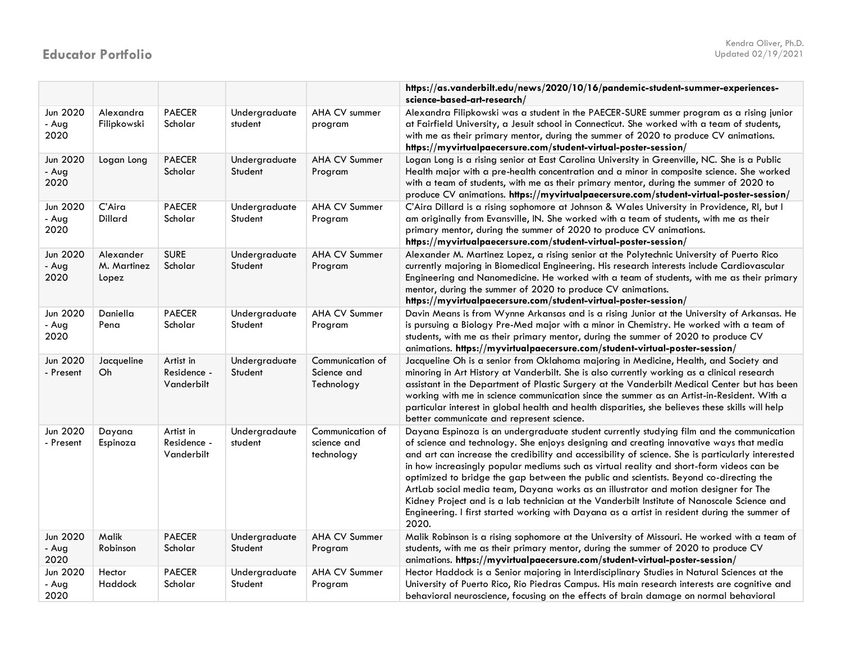|                           |                                   |                                        |                          |                                               | https://as.vanderbilt.edu/news/2020/10/16/pandemic-student-summer-experiences-<br>science-based-art-research/                                                                                                                                                                                                                                                                                                                                                                                                                                                                                                                                                                                                                                                                    |
|---------------------------|-----------------------------------|----------------------------------------|--------------------------|-----------------------------------------------|----------------------------------------------------------------------------------------------------------------------------------------------------------------------------------------------------------------------------------------------------------------------------------------------------------------------------------------------------------------------------------------------------------------------------------------------------------------------------------------------------------------------------------------------------------------------------------------------------------------------------------------------------------------------------------------------------------------------------------------------------------------------------------|
| Jun 2020<br>- Aug<br>2020 | Alexandra<br>Filipkowski          | <b>PAECER</b><br>Scholar               | Undergraduate<br>student | AHA CV summer<br>program                      | Alexandra Filipkowski was a student in the PAECER-SURE summer program as a rising junior<br>at Fairfield University, a Jesuit school in Connecticut. She worked with a team of students,<br>with me as their primary mentor, during the summer of 2020 to produce CV animations.<br>https://myvirtualpaecersure.com/student-virtual-poster-session/                                                                                                                                                                                                                                                                                                                                                                                                                              |
| Jun 2020<br>- Aug<br>2020 | Logan Long                        | <b>PAECER</b><br>Scholar               | Undergraduate<br>Student | AHA CV Summer<br>Program                      | Logan Long is a rising senior at East Carolina University in Greenville, NC. She is a Public<br>Health major with a pre-health concentration and a minor in composite science. She worked<br>with a team of students, with me as their primary mentor, during the summer of 2020 to<br>produce CV animations. https://myvirtualpaecersure.com/student-virtual-poster-session/                                                                                                                                                                                                                                                                                                                                                                                                    |
| Jun 2020<br>- Aug<br>2020 | C'Aira<br><b>Dillard</b>          | <b>PAECER</b><br>Scholar               | Undergraduate<br>Student | <b>AHA CV Summer</b><br>Program               | C'Aira Dillard is a rising sophomore at Johnson & Wales University in Providence, RI, but I<br>am originally from Evansville, IN. She worked with a team of students, with me as their<br>primary mentor, during the summer of 2020 to produce CV animations.<br>https://myvirtualpaecersure.com/student-virtual-poster-session/                                                                                                                                                                                                                                                                                                                                                                                                                                                 |
| Jun 2020<br>- Aug<br>2020 | Alexander<br>M. Martinez<br>Lopez | <b>SURE</b><br>Scholar                 | Undergraduate<br>Student | <b>AHA CV Summer</b><br>Program               | Alexander M. Martinez Lopez, a rising senior at the Polytechnic University of Puerto Rico<br>currently majoring in Biomedical Engineering. His research interests include Cardiovascular<br>Engineering and Nanomedicine. He worked with a team of students, with me as their primary<br>mentor, during the summer of 2020 to produce CV animations.<br>https://myvirtualpaecersure.com/student-virtual-poster-session/                                                                                                                                                                                                                                                                                                                                                          |
| Jun 2020<br>- Aug<br>2020 | Daniella<br>Pena                  | <b>PAECER</b><br>Scholar               | Undergraduate<br>Student | <b>AHA CV Summer</b><br>Program               | Davin Means is from Wynne Arkansas and is a rising Junior at the University of Arkansas. He<br>is pursuing a Biology Pre-Med major with a minor in Chemistry. He worked with a team of<br>students, with me as their primary mentor, during the summer of 2020 to produce CV<br>animations. https://myvirtualpaecersure.com/student-virtual-poster-session/                                                                                                                                                                                                                                                                                                                                                                                                                      |
| Jun 2020<br>- Present     | Jacqueline<br>Oh                  | Artist in<br>Residence -<br>Vanderbilt | Undergraduate<br>Student | Communication of<br>Science and<br>Technology | Jacqueline Oh is a senior from Oklahoma majoring in Medicine, Health, and Society and<br>minoring in Art History at Vanderbilt. She is also currently working as a clinical research<br>assistant in the Department of Plastic Surgery at the Vanderbilt Medical Center but has been<br>working with me in science communication since the summer as an Artist-in-Resident. With a<br>particular interest in global health and health disparities, she believes these skills will help<br>better communicate and represent science.                                                                                                                                                                                                                                              |
| Jun 2020<br>- Present     | Dayana<br>Espinoza                | Artist in<br>Residence -<br>Vanderbilt | Undergradaute<br>student | Communication of<br>science and<br>technology | Dayana Espinoza is an undergraduate student currently studying film and the communication<br>of science and technology. She enjoys designing and creating innovative ways that media<br>and art can increase the credibility and accessibility of science. She is particularly interested<br>in how increasingly popular mediums such as virtual reality and short-form videos can be<br>optimized to bridge the gap between the public and scientists. Beyond co-directing the<br>ArtLab social media team, Dayana works as an illustrator and motion designer for The<br>Kidney Project and is a lab technician at the Vanderbilt Institute of Nanoscale Science and<br>Engineering. I first started working with Dayana as a artist in resident during the summer of<br>2020. |
| Jun 2020<br>- Aug<br>2020 | Malik<br>Robinson                 | <b>PAECER</b><br>Scholar               | Undergraduate<br>Student | <b>AHA CV Summer</b><br>Program               | Malik Robinson is a rising sophomore at the University of Missouri. He worked with a team of<br>students, with me as their primary mentor, during the summer of 2020 to produce CV<br>animations. https://myvirtualpaecersure.com/student-virtual-poster-session/                                                                                                                                                                                                                                                                                                                                                                                                                                                                                                                |
| Jun 2020<br>- Aug<br>2020 | Hector<br><b>Haddock</b>          | <b>PAECER</b><br>Scholar               | Undergraduate<br>Student | <b>AHA CV Summer</b><br>Program               | Hector Haddock is a Senior majoring in Interdisciplinary Studies in Natural Sciences at the<br>University of Puerto Rico, Rio Piedras Campus. His main research interests are cognitive and<br>behavioral neuroscience, focusing on the effects of brain damage on normal behavioral                                                                                                                                                                                                                                                                                                                                                                                                                                                                                             |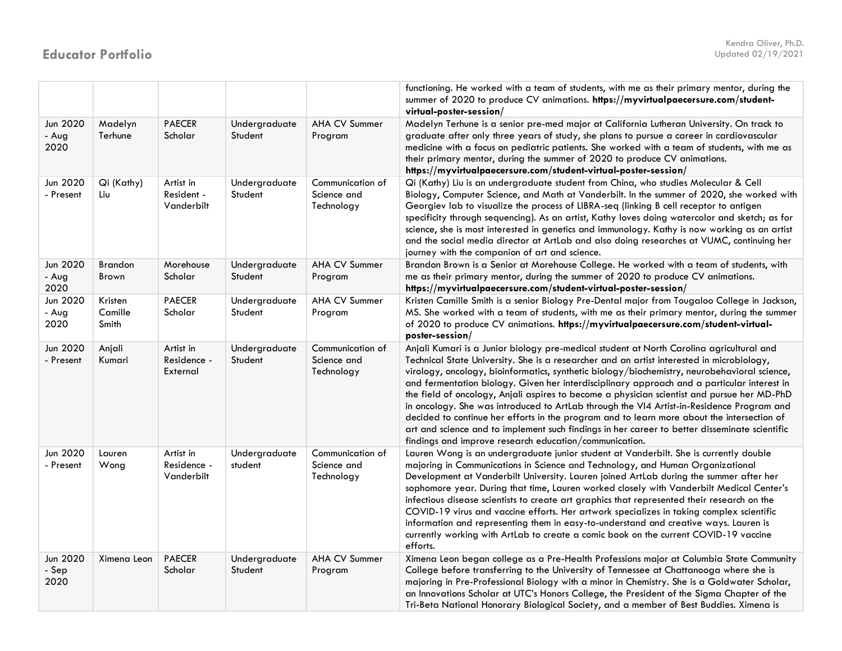|                           |                                |                                        |                          |                                               | functioning. He worked with a team of students, with me as their primary mentor, during the<br>summer of 2020 to produce CV animations. https://myvirtualpaecersure.com/student-<br>virtual-poster-session/                                                                                                                                                                                                                                                                                                                                                                                                                                                                                                                                                                                                                               |
|---------------------------|--------------------------------|----------------------------------------|--------------------------|-----------------------------------------------|-------------------------------------------------------------------------------------------------------------------------------------------------------------------------------------------------------------------------------------------------------------------------------------------------------------------------------------------------------------------------------------------------------------------------------------------------------------------------------------------------------------------------------------------------------------------------------------------------------------------------------------------------------------------------------------------------------------------------------------------------------------------------------------------------------------------------------------------|
| Jun 2020<br>- Aug<br>2020 | Madelyn<br>Terhune             | <b>PAECER</b><br>Scholar               | Undergraduate<br>Student | AHA CV Summer<br>Program                      | Madelyn Terhune is a senior pre-med major at California Lutheran University. On track to<br>graduate after only three years of study, she plans to pursue a career in cardiovascular<br>medicine with a focus on pediatric patients. She worked with a team of students, with me as<br>their primary mentor, during the summer of 2020 to produce CV animations.<br>https://myvirtualpaecersure.com/student-virtual-poster-session/                                                                                                                                                                                                                                                                                                                                                                                                       |
| Jun 2020<br>- Present     | Qi (Kathy)<br>Liu              | Artist in<br>Resident -<br>Vanderbilt  | Undergraduate<br>Student | Communication of<br>Science and<br>Technology | Qi (Kathy) Liu is an undergraduate student from China, who studies Molecular & Cell<br>Biology, Computer Science, and Math at Vanderbilt. In the summer of 2020, she worked with<br>Georgiev lab to visualize the process of LIBRA-seq (linking B cell receptor to antigen<br>specificity through sequencing). As an artist, Kathy loves doing watercolor and sketch; as for<br>science, she is most interested in genetics and immunology. Kathy is now working as an artist<br>and the social media director at ArtLab and also doing researches at VUMC, continuing her<br>journey with the companion of art and science.                                                                                                                                                                                                              |
| Jun 2020<br>- Aug<br>2020 | <b>Brandon</b><br><b>Brown</b> | Morehouse<br>Scholar                   | Undergraduate<br>Student | <b>AHA CV Summer</b><br>Program               | Brandon Brown is a Senior at Morehouse College. He worked with a team of students, with<br>me as their primary mentor, during the summer of 2020 to produce CV animations.<br>https://myvirtualpaecersure.com/student-virtual-poster-session/                                                                                                                                                                                                                                                                                                                                                                                                                                                                                                                                                                                             |
| Jun 2020<br>- Aug<br>2020 | Kristen<br>Camille<br>Smith    | <b>PAECER</b><br>Scholar               | Undergraduate<br>Student | AHA CV Summer<br>Program                      | Kristen Camille Smith is a senior Biology Pre-Dental major from Tougaloo College in Jackson,<br>MS. She worked with a team of students, with me as their primary mentor, during the summer<br>of 2020 to produce CV animations. https://myvirtualpaecersure.com/student-virtual-<br>poster-session/                                                                                                                                                                                                                                                                                                                                                                                                                                                                                                                                       |
| Jun 2020<br>- Present     | Anjali<br>Kumari               | Artist in<br>Residence -<br>External   | Undergraduate<br>Student | Communication of<br>Science and<br>Technology | Anjali Kumari is a Junior biology pre-medical student at North Carolina agricultural and<br>Technical State University. She is a researcher and an artist interested in microbiology,<br>virology, oncology, bioinformatics, synthetic biology/biochemistry, neurobehavioral science,<br>and fermentation biology. Given her interdisciplinary approach and a particular interest in<br>the field of oncology, Anjali aspires to become a physician scientist and pursue her MD-PhD<br>in oncology. She was introduced to ArtLab through the VI4 Artist-in-Residence Program and<br>decided to continue her efforts in the program and to learn more about the intersection of<br>art and science and to implement such findings in her career to better disseminate scientific<br>findings and improve research education/communication. |
| Jun 2020<br>- Present     | Lauren<br>Wong                 | Artist in<br>Residence -<br>Vanderbilt | Undergraduate<br>student | Communication of<br>Science and<br>Technology | Lauren Wong is an undergraduate junior student at Vanderbilt. She is currently double<br>majoring in Communications in Science and Technology, and Human Organizational<br>Development at Vanderbilt University. Lauren joined ArtLab during the summer after her<br>sophomore year. During that time, Lauren worked closely with Vanderbilt Medical Center's<br>infectious disease scientists to create art graphics that represented their research on the<br>COVID-19 virus and vaccine efforts. Her artwork specializes in taking complex scientific<br>information and representing them in easy-to-understand and creative ways. Lauren is<br>currently working with ArtLab to create a comic book on the current COVID-19 vaccine<br>efforts.                                                                                      |
| Jun 2020<br>- Sep<br>2020 | Ximena Leon                    | <b>PAECER</b><br>Scholar               | Undergraduate<br>Student | AHA CV Summer<br>Program                      | Ximena Leon began college as a Pre-Health Professions major at Columbia State Community<br>College before transferring to the University of Tennessee at Chattanooga where she is<br>majoring in Pre-Professional Biology with a minor in Chemistry. She is a Goldwater Scholar,<br>an Innovations Scholar at UTC's Honors College, the President of the Sigma Chapter of the<br>Tri-Beta National Honorary Biological Society, and a member of Best Buddies. Ximena is                                                                                                                                                                                                                                                                                                                                                                   |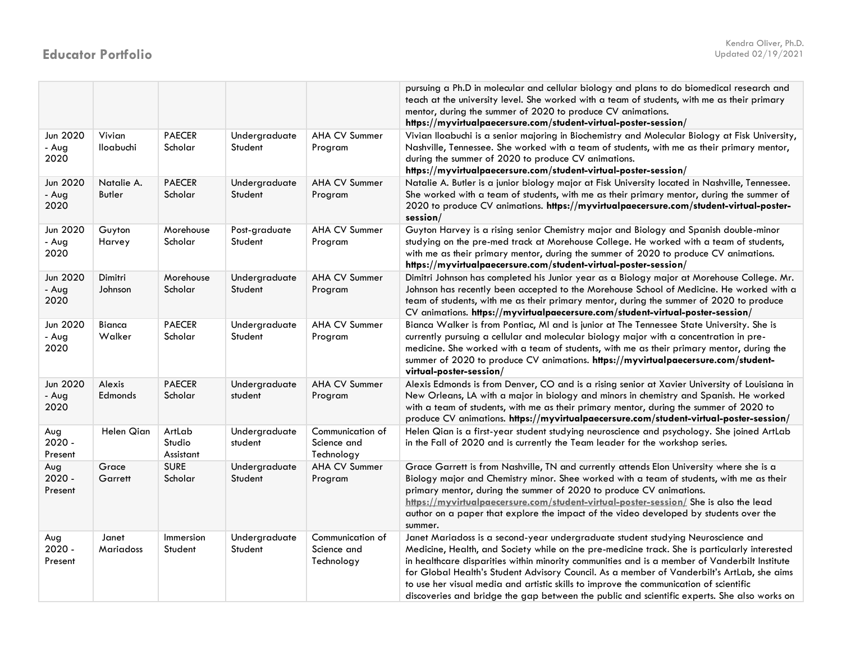|                            |                             |                               |                          |                                               | pursuing a Ph.D in molecular and cellular biology and plans to do biomedical research and<br>teach at the university level. She worked with a team of students, with me as their primary<br>mentor, during the summer of 2020 to produce CV animations.<br>https://myvirtualpaecersure.com/student-virtual-poster-session/                                                                                                                                                                                                                                                |
|----------------------------|-----------------------------|-------------------------------|--------------------------|-----------------------------------------------|---------------------------------------------------------------------------------------------------------------------------------------------------------------------------------------------------------------------------------------------------------------------------------------------------------------------------------------------------------------------------------------------------------------------------------------------------------------------------------------------------------------------------------------------------------------------------|
| Jun 2020<br>- Aug<br>2020  | Vivian<br><b>Iloabuchi</b>  | <b>PAECER</b><br>Scholar      | Undergraduate<br>Student | AHA CV Summer<br>Program                      | Vivian Iloabuchi is a senior majoring in Biochemistry and Molecular Biology at Fisk University,<br>Nashville, Tennessee. She worked with a team of students, with me as their primary mentor,<br>during the summer of 2020 to produce CV animations.<br>https://myvirtualpaecersure.com/student-virtual-poster-session/                                                                                                                                                                                                                                                   |
| Jun 2020<br>- Aug<br>2020  | Natalie A.<br><b>Butler</b> | <b>PAECER</b><br>Scholar      | Undergraduate<br>Student | AHA CV Summer<br>Program                      | Natalie A. Butler is a junior biology major at Fisk University located in Nashville, Tennessee.<br>She worked with a team of students, with me as their primary mentor, during the summer of<br>2020 to produce CV animations. https://myvirtualpaecersure.com/student-virtual-poster-<br>session/                                                                                                                                                                                                                                                                        |
| Jun 2020<br>- Aug<br>2020  | Guyton<br>Harvey            | Morehouse<br>Scholar          | Post-graduate<br>Student | <b>AHA CV Summer</b><br>Program               | Guyton Harvey is a rising senior Chemistry major and Biology and Spanish double-minor<br>studying on the pre-med track at Morehouse College. He worked with a team of students,<br>with me as their primary mentor, during the summer of 2020 to produce CV animations.<br>https://myvirtualpaecersure.com/student-virtual-poster-session/                                                                                                                                                                                                                                |
| Jun 2020<br>- Aug<br>2020  | Dimitri<br>Johnson          | Morehouse<br>Scholar          | Undergraduate<br>Student | <b>AHA CV Summer</b><br>Program               | Dimitri Johnson has completed his Junior year as a Biology major at Morehouse College. Mr.<br>Johnson has recently been accepted to the Morehouse School of Medicine. He worked with a<br>team of students, with me as their primary mentor, during the summer of 2020 to produce<br>CV animations. https://myvirtualpaecersure.com/student-virtual-poster-session/                                                                                                                                                                                                       |
| Jun 2020<br>- Aug<br>2020  | Bianca<br>Walker            | <b>PAECER</b><br>Scholar      | Undergraduate<br>Student | AHA CV Summer<br>Program                      | Bianca Walker is from Pontiac, MI and is junior at The Tennessee State University. She is<br>currently pursuing a cellular and molecular biology major with a concentration in pre-<br>medicine. She worked with a team of students, with me as their primary mentor, during the<br>summer of 2020 to produce CV animations. https://myvirtualpaecersure.com/student-<br>virtual-poster-session/                                                                                                                                                                          |
| Jun 2020<br>- Aug<br>2020  | Alexis<br><b>Edmonds</b>    | <b>PAECER</b><br>Scholar      | Undergraduate<br>student | <b>AHA CV Summer</b><br>Program               | Alexis Edmonds is from Denver, CO and is a rising senior at Xavier University of Louisiana in<br>New Orleans, LA with a major in biology and minors in chemistry and Spanish. He worked<br>with a team of students, with me as their primary mentor, during the summer of 2020 to<br>produce CV animations. https://myvirtualpaecersure.com/student-virtual-poster-session/                                                                                                                                                                                               |
| Aug<br>$2020 -$<br>Present | Helen Qian                  | ArtLab<br>Studio<br>Assistant | Undergraduate<br>student | Communication of<br>Science and<br>Technology | Helen Qian is a first-year student studying neuroscience and psychology. She joined ArtLab<br>in the Fall of 2020 and is currently the Team leader for the workshop series.                                                                                                                                                                                                                                                                                                                                                                                               |
| Aug<br>$2020 -$<br>Present | Grace<br>Garrett            | <b>SURE</b><br>Scholar        | Undergraduate<br>Student | <b>AHA CV Summer</b><br>Program               | Grace Garrett is from Nashville, TN and currently attends Elon University where she is a<br>Biology major and Chemistry minor. Shee worked with a team of students, with me as their<br>primary mentor, during the summer of 2020 to produce CV animations.<br>https://myvirtualpaecersure.com/student-virtual-poster-session/ She is also the lead<br>author on a paper that explore the impact of the video developed by students over the<br>summer.                                                                                                                   |
| Aug<br>$2020 -$<br>Present | Janet<br><b>Mariadoss</b>   | Immersion<br>Student          | Undergraduate<br>Student | Communication of<br>Science and<br>Technology | Janet Mariadoss is a second-year undergraduate student studying Neuroscience and<br>Medicine, Health, and Society while on the pre-medicine track. She is particularly interested<br>in healthcare disparities within minority communities and is a member of Vanderbilt Institute<br>for Global Health's Student Advisory Council. As a member of Vanderbilt's ArtLab, she aims<br>to use her visual media and artistic skills to improve the communication of scientific<br>discoveries and bridge the gap between the public and scientific experts. She also works on |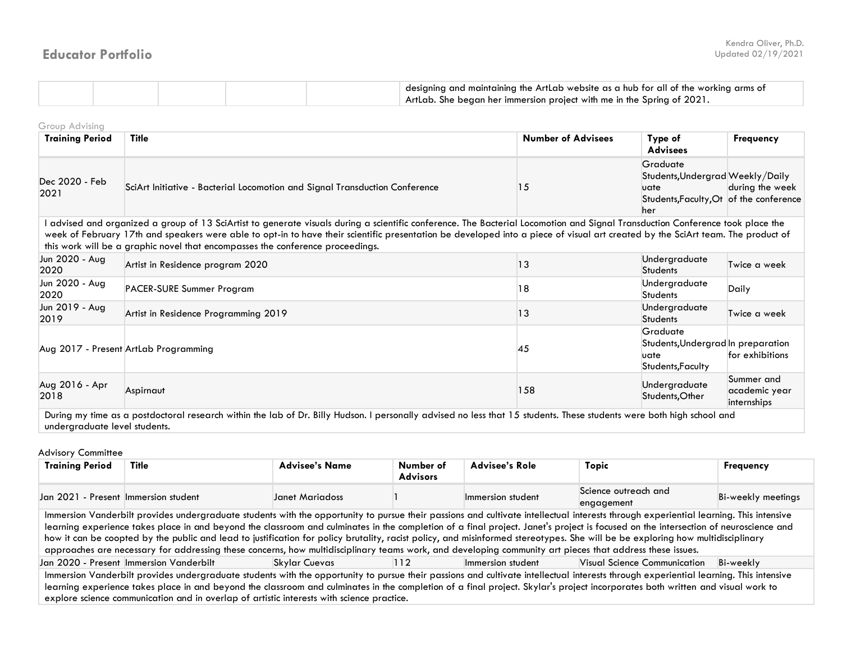| edesigning and maintaining the ArtLab website as a hub for all of the working arms of<br>$\,$ ArtLab. She began her immersion project with me in the Spring of 2021. |
|----------------------------------------------------------------------------------------------------------------------------------------------------------------------|
|----------------------------------------------------------------------------------------------------------------------------------------------------------------------|

Group Advising

| <b>Training Period</b>                                                                                                                                                                                                                                                                                                                                                                                                                            | <b>Title</b>                                                                | <b>Number of Advisees</b> | Type of<br><b>Advisees</b>                                                                                                                                                                                                                                               | <b>Frequency</b>                           |  |  |
|---------------------------------------------------------------------------------------------------------------------------------------------------------------------------------------------------------------------------------------------------------------------------------------------------------------------------------------------------------------------------------------------------------------------------------------------------|-----------------------------------------------------------------------------|---------------------------|--------------------------------------------------------------------------------------------------------------------------------------------------------------------------------------------------------------------------------------------------------------------------|--------------------------------------------|--|--|
| Dec 2020 - Feb<br>2021                                                                                                                                                                                                                                                                                                                                                                                                                            | SciArt Initiative - Bacterial Locomotion and Signal Transduction Conference | 15                        | Graduate<br>Students, Undergrad Weekly / Daily<br>uate<br>Students, Faculty, Ot of the conference<br>her                                                                                                                                                                 | during the week                            |  |  |
| advised and organized a group of 13 SciArtist to generate visuals during a scientific conference. The Bacterial Locomotion and Signal Transduction Conference took place the<br>week of February 17th and speakers were able to opt-in to have their scientific presentation be developed into a piece of visual art created by the SciArt team. The product of<br>this work will be a graphic novel that encompasses the conference proceedings. |                                                                             |                           |                                                                                                                                                                                                                                                                          |                                            |  |  |
| Jun 2020 - Aug<br>2020                                                                                                                                                                                                                                                                                                                                                                                                                            | Artist in Residence program 2020                                            | 13                        | Undergraduate<br><b>Students</b>                                                                                                                                                                                                                                         | Twice a week                               |  |  |
| Jun 2020 - Aug<br>2020                                                                                                                                                                                                                                                                                                                                                                                                                            | PACER-SURE Summer Program                                                   | 18                        | Undergraduate<br>Students                                                                                                                                                                                                                                                | Daily                                      |  |  |
| Jun 2019 - Aug<br>2019                                                                                                                                                                                                                                                                                                                                                                                                                            | Artist in Residence Programming 2019                                        | 13                        | Undergraduate<br><b>Students</b>                                                                                                                                                                                                                                         | Twice a week                               |  |  |
|                                                                                                                                                                                                                                                                                                                                                                                                                                                   | Aug 2017 - Present ArtLab Programming                                       | 45                        | Graduate<br>Students, Undergrad In preparation<br>luate<br>Students, Faculty                                                                                                                                                                                             | for exhibitions                            |  |  |
| Aug 2016 - Apr<br>2018<br>$\sim$ $\sim$                                                                                                                                                                                                                                                                                                                                                                                                           | Aspirnaut<br>$\mathbf{u}$ and $\mathbf{u}$ and $\mathbf{u}$<br>.            | 158                       | Undergraduate<br>Students, Other<br><b>The Secret Secret Secret Secret Secret Secret Secret Secret Secret Secret Secret Secret Secret Secret Secret Secret Secret Secret Secret Secret Secret Secret Secret Secret Secret Secret Secret Secret Secret Secret Secret </b> | Summer and<br>academic year<br>internships |  |  |

During my time as a postdoctoral research within the lab of Dr. Billy Hudson. I personally advised no less that 15 students. These students were both high school and undergraduate level students.

#### Advisory Committee

| <b>Training Period</b>                                                                                                                                                                                                                                                                                                                                                                                                                                                                                                                                                                                                                                                                                                     | Title                                   | <b>Advisee's Name</b> | Number of<br><b>Advisors</b> | <b>Advisee's Role</b> | Topic                                  | <b>Frequency</b>   |
|----------------------------------------------------------------------------------------------------------------------------------------------------------------------------------------------------------------------------------------------------------------------------------------------------------------------------------------------------------------------------------------------------------------------------------------------------------------------------------------------------------------------------------------------------------------------------------------------------------------------------------------------------------------------------------------------------------------------------|-----------------------------------------|-----------------------|------------------------------|-----------------------|----------------------------------------|--------------------|
| Jan 2021 - Present Immersion student                                                                                                                                                                                                                                                                                                                                                                                                                                                                                                                                                                                                                                                                                       |                                         | Janet Mariadoss       |                              | Immersion student     | Science outreach and<br>engagement     | Bi-weekly meetings |
| Immersion Vanderbilt provides undergraduate students with the opportunity to pursue their passions and cultivate intellectual interests through experiential learning. This intensive<br>learning experience takes place in and beyond the classroom and culminates in the completion of a final project. Janet's project is focused on the intersection of neuroscience and<br>how it can be coopted by the public and lead to justification for policy brutality, racist policy, and misinformed stereotypes. She will be be exploring how multidisciplinary<br>approaches are necessary for addressing these concerns, how multidisciplinary teams work, and developing community art pieces that address these issues. |                                         |                       |                              |                       |                                        |                    |
|                                                                                                                                                                                                                                                                                                                                                                                                                                                                                                                                                                                                                                                                                                                            | Jan 2020 - Present Immersion Vanderbilt | Skylar Cuevas         | 112                          | Immersion student     | Visual Science Communication Bi-weekly |                    |
| Immersion Vanderbilt provides undergraduate students with the opportunity to pursue their passions and cultivate intellectual interests through experiential learning. This intensive<br>learning experience takes place in and beyond the classroom and culminates in the completion of a final project. Skylar's project incorporates both written and visual work to<br>explore science communication and in overlap of artistic interests with science practice.                                                                                                                                                                                                                                                       |                                         |                       |                              |                       |                                        |                    |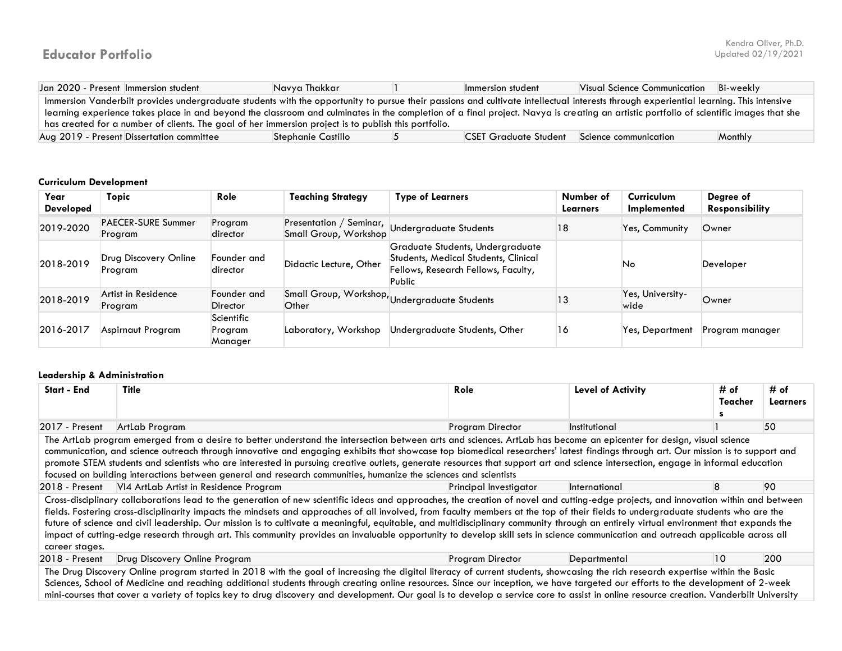| Jan 2020 - Present Immersion student                                                                                                                                                   | Navya Thakkar      |  | Immersion student                                  | <b>Visual Science Communication</b> | Bi-weekly |  |
|----------------------------------------------------------------------------------------------------------------------------------------------------------------------------------------|--------------------|--|----------------------------------------------------|-------------------------------------|-----------|--|
| Immersion Vanderbilt provides undergraduate students with the opportunity to pursue their passions and cultivate intellectual interests through experiential learning. This intensive  |                    |  |                                                    |                                     |           |  |
| learning experience takes place in and beyond the classroom and culminates in the completion of a final project. Navya is creating an artistic portfolio of scientific images that she |                    |  |                                                    |                                     |           |  |
| has created for a number of clients. The goal of her immersion project is to publish this portfolio.                                                                                   |                    |  |                                                    |                                     |           |  |
| Aug 2019 - Present Dissertation committee                                                                                                                                              | Stephanie Castillo |  | <b>CSET Graduate Student Science communication</b> |                                     | Monthly   |  |

### **Curriculum Development**

| Year<br><b>Developed</b> | <b>Topic</b>                         | <b>Role</b>                      | <b>Teaching Strategy</b> | <b>Type of Learners</b>                                                                                                   | Number of<br>Learners | Curriculum<br>Implemented | Degree of<br><b>Responsibility</b> |
|--------------------------|--------------------------------------|----------------------------------|--------------------------|---------------------------------------------------------------------------------------------------------------------------|-----------------------|---------------------------|------------------------------------|
| 2019-2020                | <b>PAECER-SURE Summer</b><br>Program | Program<br>director              | Small Group, Workshop    | Presentation / Seminar, Undergraduate Students                                                                            | 18                    | <b>Yes, Community</b>     | Owner                              |
| 2018-2019                | Drug Discovery Online<br>Program     | Founder and<br>director          | Didactic Lecture, Other  | Graduate Students, Undergraduate<br>Students, Medical Students, Clinical<br>Fellows, Research Fellows, Faculty,<br>Public |                       | No                        | Developer                          |
| 2018-2019                | Artist in Residence<br>Program       | Founder and<br><b>Director</b>   | Other                    | Small Group, Workshop, Undergraduate Students                                                                             | 13                    | Yes, University-<br>wide  | Owner                              |
| 2016-2017                | Aspirnaut Program                    | Scientific<br>Program<br>Manager | Laboratory, Workshop     | Undergraduate Students, Other                                                                                             | 16                    | Yes, Department           | Program manager                    |

### **Leadership & Administration**

| <b>Start - End</b>                                                                                                                                                                                                                                                                                                                                                                                                                                                                                                                                                                                                                                                                                                                                                      | Title                                  | Role                    | <b>Level of Activity</b> | # of<br>Teacher | # of<br>Learners |  |
|-------------------------------------------------------------------------------------------------------------------------------------------------------------------------------------------------------------------------------------------------------------------------------------------------------------------------------------------------------------------------------------------------------------------------------------------------------------------------------------------------------------------------------------------------------------------------------------------------------------------------------------------------------------------------------------------------------------------------------------------------------------------------|----------------------------------------|-------------------------|--------------------------|-----------------|------------------|--|
| 2017 - Present                                                                                                                                                                                                                                                                                                                                                                                                                                                                                                                                                                                                                                                                                                                                                          | ArtLab Program                         | <b>Program Director</b> | Institutional            |                 | 50               |  |
| The ArtLab program emerged from a desire to better understand the intersection between arts and sciences. ArtLab has become an epicenter for design, visual science<br>communication, and science outreach through innovative and engaging exhibits that showcase top biomedical researchers' latest findings through art. Our mission is to support and<br>promote STEM students and scientists who are interested in pursuing creative outlets, generate resources that support art and science intersection, engage in informal education<br>focused on building interactions between general and research communities, humanize the sciences and scientists                                                                                                         |                                        |                         |                          |                 |                  |  |
| 2018 - Present                                                                                                                                                                                                                                                                                                                                                                                                                                                                                                                                                                                                                                                                                                                                                          | VI4 ArtLab Artist in Residence Program | Principal Investigator  | International            | 8               | 90               |  |
| Cross-disciplinary collaborations lead to the generation of new scientific ideas and approaches, the creation of novel and cutting-edge projects, and innovation within and between<br>fields. Fostering cross-disciplinarity impacts the mindsets and approaches of all involved, from faculty members at the top of their fields to undergraduate students who are the<br>future of science and civil leadership. Our mission is to cultivate a meaningful, equitable, and multidisciplinary community through an entirely virtual environment that expands the<br>impact of cutting-edge research through art. This community provides an invaluable opportunity to develop skill sets in science communication and outreach applicable across all<br>career stages. |                                        |                         |                          |                 |                  |  |
| 2018 - Present                                                                                                                                                                                                                                                                                                                                                                                                                                                                                                                                                                                                                                                                                                                                                          | Drug Discovery Online Program          | Program Director        | Departmental             | 10              | 200              |  |
| The Drug Discovery Online program started in 2018 with the goal of increasing the digital literacy of current students, showcasing the rich research expertise within the Basic<br>Sciences, School of Medicine and reaching additional students through creating online resources. Since our inception, we have targeted our efforts to the development of 2-week<br>mini-courses that cover a variety of topics key to drug discovery and development. Our goal is to develop a service core to assist in online resource creation. Vanderbilt University                                                                                                                                                                                                             |                                        |                         |                          |                 |                  |  |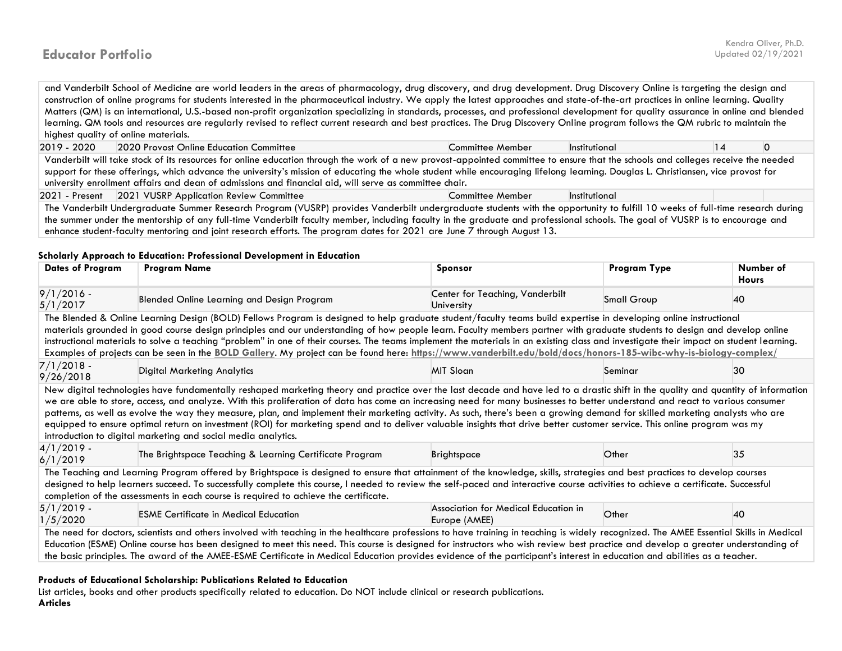## **Educator Portfolio** Updated 02/19/2021

and Vanderbilt School of Medicine are world leaders in the areas of pharmacology, drug discovery, and drug development. Drug Discovery Online is targeting the design and construction of online programs for students interested in the pharmaceutical industry. We apply the latest approaches and state-of-the-art practices in online learning. Quality Matters (QM) is an international, U.S.-based non-profit organization specializing in standards, processes, and professional development for quality assurance in online and blended learning. QM tools and resources are regularly revised to reflect current research and best practices. The Drug Discovery Online program follows the QM rubric to maintain the highest quality of online materials.

| 2019 - 2020                                                                                                                                                                       | 2020 Provost Online Education Committee                                                                                                                                           | Committee Member | Institutional |  |  |  |
|-----------------------------------------------------------------------------------------------------------------------------------------------------------------------------------|-----------------------------------------------------------------------------------------------------------------------------------------------------------------------------------|------------------|---------------|--|--|--|
|                                                                                                                                                                                   | Vanderbilt will take stock of its resources for online education through the work of a new provost-appointed committee to ensure that the schools and colleges receive the needed |                  |               |  |  |  |
| support for these offerings, which advance the university's mission of educating the whole student while encouraging lifelong learning. Douglas L. Christiansen, vice provost for |                                                                                                                                                                                   |                  |               |  |  |  |
|                                                                                                                                                                                   | university enrollment affairs and dean of admissions and financial aid, will serve as committee chair.                                                                            |                  |               |  |  |  |

2021 - Present 2021 VUSRP Application Review Committee Committee Member Institutional

The Vanderbilt Undergraduate Summer Research Program (VUSRP) provides Vanderbilt undergraduate students with the opportunity to fulfill 10 weeks of full-time research during the summer under the mentorship of any full-time Vanderbilt faculty member, including faculty in the graduate and professional schools. The goal of VUSRP is to encourage and enhance student-faculty mentoring and joint research efforts. The program dates for 2021 are June 7 through August 13.

#### **Scholarly Approach to Education: Professional Development in Education**

| <b>Dates of Program</b>                                                                                                                                                                                                                                                                                                                                                                                                                                                                                                                                                                                                                                                                                                                                                                                                                                                                                            | <b>Program Name</b>                                                                                                                                                                                                                                                                                                                                                                                                                                                                                                                                        | <b>Sponsor</b>                                        | <b>Program Type</b> | Number of<br><b>Hours</b> |  |  |  |
|--------------------------------------------------------------------------------------------------------------------------------------------------------------------------------------------------------------------------------------------------------------------------------------------------------------------------------------------------------------------------------------------------------------------------------------------------------------------------------------------------------------------------------------------------------------------------------------------------------------------------------------------------------------------------------------------------------------------------------------------------------------------------------------------------------------------------------------------------------------------------------------------------------------------|------------------------------------------------------------------------------------------------------------------------------------------------------------------------------------------------------------------------------------------------------------------------------------------------------------------------------------------------------------------------------------------------------------------------------------------------------------------------------------------------------------------------------------------------------------|-------------------------------------------------------|---------------------|---------------------------|--|--|--|
| $9/1/2016$ -<br>5/1/2017                                                                                                                                                                                                                                                                                                                                                                                                                                                                                                                                                                                                                                                                                                                                                                                                                                                                                           | Blended Online Learning and Design Program                                                                                                                                                                                                                                                                                                                                                                                                                                                                                                                 | Center for Teaching, Vanderbilt<br>University         | <b>Small Group</b>  | 40                        |  |  |  |
| The Blended & Online Learning Design (BOLD) Fellows Program is designed to help graduate student/faculty teams build expertise in developing online instructional<br>materials grounded in good course design principles and our understanding of how people learn. Faculty members partner with graduate students to design and develop online<br>instructional materials to solve a teaching "problem" in one of their courses. The teams implement the materials in an existing class and investigate their impact on student learning.<br>Examples of projects can be seen in the <b>BOLD Gallery</b> . My project can be found here: https://www.vanderbilt.edu/bold/docs/honors-185-wibc-why-is-biology-complex/                                                                                                                                                                                             |                                                                                                                                                                                                                                                                                                                                                                                                                                                                                                                                                            |                                                       |                     |                           |  |  |  |
| $7/1/2018$ -<br>9/26/2018                                                                                                                                                                                                                                                                                                                                                                                                                                                                                                                                                                                                                                                                                                                                                                                                                                                                                          | <b>Digital Marketing Analytics</b>                                                                                                                                                                                                                                                                                                                                                                                                                                                                                                                         | <b>MIT Sloan</b>                                      | Seminar             | 30                        |  |  |  |
| New digital technologies have fundamentally reshaped marketing theory and practice over the last decade and have led to a drastic shift in the quality and quantity of information<br>we are able to store, access, and analyze. With this proliferation of data has come an increasing need for many businesses to better understand and react to various consumer<br>patterns, as well as evolve the way they measure, plan, and implement their marketing activity. As such, there's been a growing demand for skilled marketing analysts who are<br>equipped to ensure optimal return on investment (ROI) for marketing spend and to deliver valuable insights that drive better customer service. This online program was my<br>introduction to digital marketing and social media analytics.<br>$4/1/2019$ -<br>The Brightspace Teaching & Learning Certificate Program<br>35<br><b>Brightspace</b><br>Other |                                                                                                                                                                                                                                                                                                                                                                                                                                                                                                                                                            |                                                       |                     |                           |  |  |  |
| 6/1/2019<br>The Teaching and Learning Program offered by Brightspace is designed to ensure that attainment of the knowledge, skills, strategies and best practices to develop courses<br>designed to help learners succeed. To successfully complete this course, I needed to review the self-paced and interactive course activities to achieve a certificate. Successful<br>completion of the assessments in each course is required to achieve the certificate.                                                                                                                                                                                                                                                                                                                                                                                                                                                 |                                                                                                                                                                                                                                                                                                                                                                                                                                                                                                                                                            |                                                       |                     |                           |  |  |  |
| $5/1/2019$ -<br>1/5/2020                                                                                                                                                                                                                                                                                                                                                                                                                                                                                                                                                                                                                                                                                                                                                                                                                                                                                           | <b>ESME Certificate in Medical Education</b>                                                                                                                                                                                                                                                                                                                                                                                                                                                                                                               | Association for Medical Education in<br>Europe (AMEE) | Other               | 40                        |  |  |  |
|                                                                                                                                                                                                                                                                                                                                                                                                                                                                                                                                                                                                                                                                                                                                                                                                                                                                                                                    | The need for doctors, scientists and others involved with teaching in the healthcare professions to have training in teaching is widely recognized. The AMEE Essential Skills in Medical<br>Education (ESME) Online course has been designed to meet this need. This course is designed for instructors who wish review best practice and develop a greater understanding of<br>the basic principles. The award of the AMEE-ESME Certificate in Medical Education provides evidence of the participant's interest in education and abilities as a teacher. |                                                       |                     |                           |  |  |  |

#### **Products of Educational Scholarship: Publications Related to Education**

List articles, books and other products specifically related to education. Do NOT include clinical or research publications. **Articles**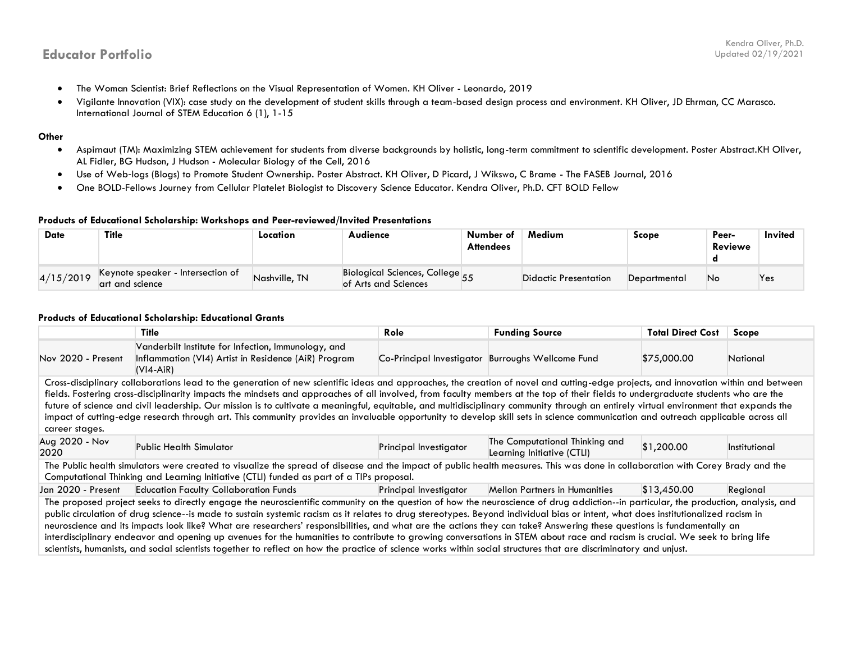- The Woman Scientist: Brief Reflections on the Visual Representation of Women. KH Oliver Leonardo, 2019
- Vigilante Innovation (VIX): case study on the development of student skills through a team-based design process and environment. KH Oliver, JD Ehrman, CC Marasco. International Journal of STEM Education 6 (1), 1-15

### **Other**

- Aspirnaut (TM): Maximizing STEM achievement for students from diverse backgrounds by holistic, long-term commitment to scientific development. Poster Abstract.KH Oliver, AL Fidler, BG Hudson, J Hudson - Molecular Biology of the Cell, 2016
- Use of Web‐logs (Blogs) to Promote Student Ownership. Poster Abstract. KH Oliver, D Picard, J Wikswo, C Brame The FASEB Journal, 2016
- One BOLD-Fellows Journey from Cellular Platelet Biologist to Discovery Science Educator. Kendra Oliver, Ph.D. CFT BOLD Fellow

#### **Products of Educational Scholarship: Workshops and Peer-reviewed/Invited Presentations**

| <b>Date</b> | Title                                                               | Location      | Audience                                                     | Number of<br>Attendees | Medium                | Scope        | Peer-<br><b>Reviewe</b><br>a | <b>Invited</b> |
|-------------|---------------------------------------------------------------------|---------------|--------------------------------------------------------------|------------------------|-----------------------|--------------|------------------------------|----------------|
| 4/15/2019   | Keynote speaker - Intersection of $\blacksquare$<br>art and science | Nashville, TN | Biological Sciences, College $_{55}$<br>of Arts and Sciences |                        | Didactic Presentation | Departmental | No                           | Yes            |

#### **Products of Educational Scholarship: Educational Grants**

|                                                                                                                                                                                                                                                                                                                                                                                                                                                                                                                                                                                                                                                                                                                                                                                                                                                                                                        | Title                                                                                                                                                                                                                                                                      | Role                   | <b>Funding Source</b>                                        | <b>Total Direct Cost</b> | Scope         |  |  |
|--------------------------------------------------------------------------------------------------------------------------------------------------------------------------------------------------------------------------------------------------------------------------------------------------------------------------------------------------------------------------------------------------------------------------------------------------------------------------------------------------------------------------------------------------------------------------------------------------------------------------------------------------------------------------------------------------------------------------------------------------------------------------------------------------------------------------------------------------------------------------------------------------------|----------------------------------------------------------------------------------------------------------------------------------------------------------------------------------------------------------------------------------------------------------------------------|------------------------|--------------------------------------------------------------|--------------------------|---------------|--|--|
| Nov 2020 - Present                                                                                                                                                                                                                                                                                                                                                                                                                                                                                                                                                                                                                                                                                                                                                                                                                                                                                     | Vanderbilt Institute for Infection, Immunology, and<br>Inflammation (VI4) Artist in Residence (AiR) Program<br>$(VI4-AiR)$                                                                                                                                                 |                        | Co-Principal Investigator Burroughs Wellcome Fund            | \$75,000.00              | National      |  |  |
| Cross-disciplinary collaborations lead to the generation of new scientific ideas and approaches, the creation of novel and cutting-edge projects, and innovation within and between<br>fields. Fostering cross-disciplinarity impacts the mindsets and approaches of all involved, from faculty members at the top of their fields to undergraduate students who are the<br>future of science and civil leadership. Our mission is to cultivate a meaningful, equitable, and multidisciplinary community through an entirely virtual environment that expands the<br>impact of cutting-edge research through art. This community provides an invaluable opportunity to develop skill sets in science communication and outreach applicable across all<br>career stages.                                                                                                                                |                                                                                                                                                                                                                                                                            |                        |                                                              |                          |               |  |  |
| Aug 2020 - Nov<br>2020                                                                                                                                                                                                                                                                                                                                                                                                                                                                                                                                                                                                                                                                                                                                                                                                                                                                                 | <b>Public Health Simulator</b>                                                                                                                                                                                                                                             | Principal Investigator | The Computational Thinking and<br>Learning Initiative (CTLI) | \$1,200.00               | Institutional |  |  |
|                                                                                                                                                                                                                                                                                                                                                                                                                                                                                                                                                                                                                                                                                                                                                                                                                                                                                                        | The Public health simulators were created to visualize the spread of disease and the impact of public health measures. This was done in collaboration with Corey Brady and the<br>Computational Thinking and Learning Initiative (CTLI) funded as part of a TIPs proposal. |                        |                                                              |                          |               |  |  |
| Jan 2020 - Present                                                                                                                                                                                                                                                                                                                                                                                                                                                                                                                                                                                                                                                                                                                                                                                                                                                                                     | <b>Education Faculty Collaboration Funds</b>                                                                                                                                                                                                                               | Principal Investigator | Mellon Partners in Humanities                                | \$13,450.00              | Regional      |  |  |
| The proposed project seeks to directly engage the neuroscientific community on the question of how the neuroscience of drug addiction--in particular, the production, analysis, and<br>public circulation of drug science--is made to sustain systemic racism as it relates to drug stereotypes. Beyond individual bias or intent, what does institutionalized racism in<br>neuroscience and its impacts look like? What are researchers' responsibilities, and what are the actions they can take? Answering these questions is fundamentally an<br>interdisciplinary endeavor and opening up avenues for the humanities to contribute to growing conversations in STEM about race and racism is crucial. We seek to bring life<br>scientists, humanists, and social scientists together to reflect on how the practice of science works within social structures that are discriminatory and unjust. |                                                                                                                                                                                                                                                                            |                        |                                                              |                          |               |  |  |